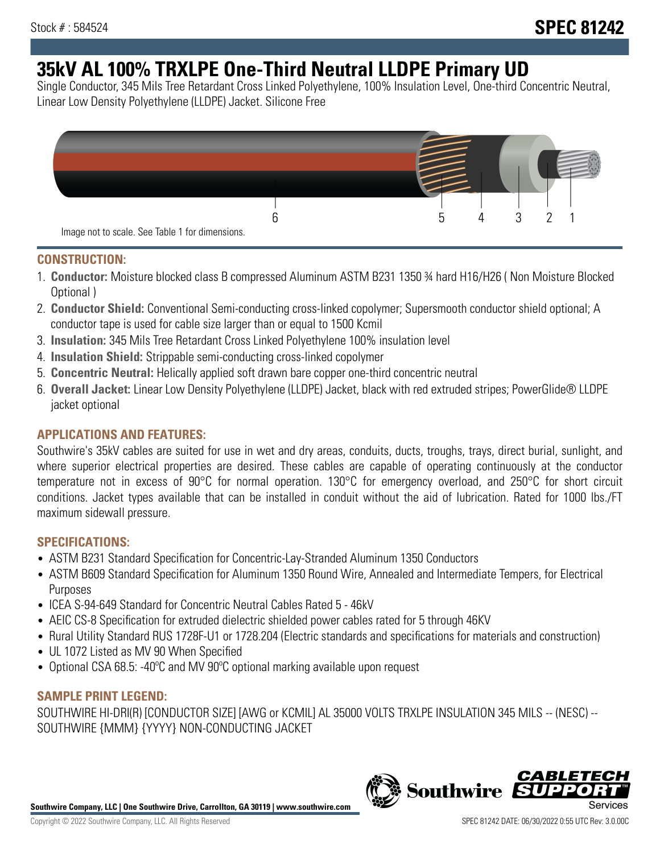# **35kV AL 100% TRXLPE One-Third Neutral LLDPE Primary UD**

Single Conductor, 345 Mils Tree Retardant Cross Linked Polyethylene, 100% Insulation Level, One-third Concentric Neutral, Linear Low Density Polyethylene (LLDPE) Jacket. Silicone Free



### **CONSTRUCTION:**

- 1. **Conductor:** Moisture blocked class B compressed Aluminum ASTM B231 1350 ¾ hard H16/H26 ( Non Moisture Blocked Optional )
- 2. **Conductor Shield:** Conventional Semi-conducting cross-linked copolymer; Supersmooth conductor shield optional; A conductor tape is used for cable size larger than or equal to 1500 Kcmil
- 3. **Insulation:** 345 Mils Tree Retardant Cross Linked Polyethylene 100% insulation level
- 4. **Insulation Shield:** Strippable semi-conducting cross-linked copolymer
- 5. **Concentric Neutral:** Helically applied soft drawn bare copper one-third concentric neutral
- 6. **Overall Jacket:** Linear Low Density Polyethylene (LLDPE) Jacket, black with red extruded stripes; PowerGlide® LLDPE jacket optional

## **APPLICATIONS AND FEATURES:**

Southwire's 35kV cables are suited for use in wet and dry areas, conduits, ducts, troughs, trays, direct burial, sunlight, and where superior electrical properties are desired. These cables are capable of operating continuously at the conductor temperature not in excess of 90°C for normal operation. 130°C for emergency overload, and 250°C for short circuit conditions. Jacket types available that can be installed in conduit without the aid of lubrication. Rated for 1000 lbs./FT maximum sidewall pressure.

## **SPECIFICATIONS:**

- ASTM B231 Standard Specification for Concentric-Lay-Stranded Aluminum 1350 Conductors
- ASTM B609 Standard Specification for Aluminum 1350 Round Wire, Annealed and Intermediate Tempers, for Electrical Purposes
- ICEA S-94-649 Standard for Concentric Neutral Cables Rated 5 46kV
- AEIC CS-8 Specification for extruded dielectric shielded power cables rated for 5 through 46KV
- Rural Utility Standard RUS 1728F-U1 or 1728.204 (Electric standards and specifications for materials and construction)
- UL 1072 Listed as MV 90 When Specified
- Optional CSA 68.5: -40ºC and MV 90ºC optional marking available upon request

#### **SAMPLE PRINT LEGEND:**

SOUTHWIRE HI-DRI(R) [CONDUCTOR SIZE] [AWG or KCMIL] AL 35000 VOLTS TRXLPE INSULATION 345 MILS -- (NESC) -- SOUTHWIRE {MMM} {YYYY} NON-CONDUCTING JACKET

**Southwire Company, LLC | One Southwire Drive, Carrollton, GA 30119 | www.southwire.com**

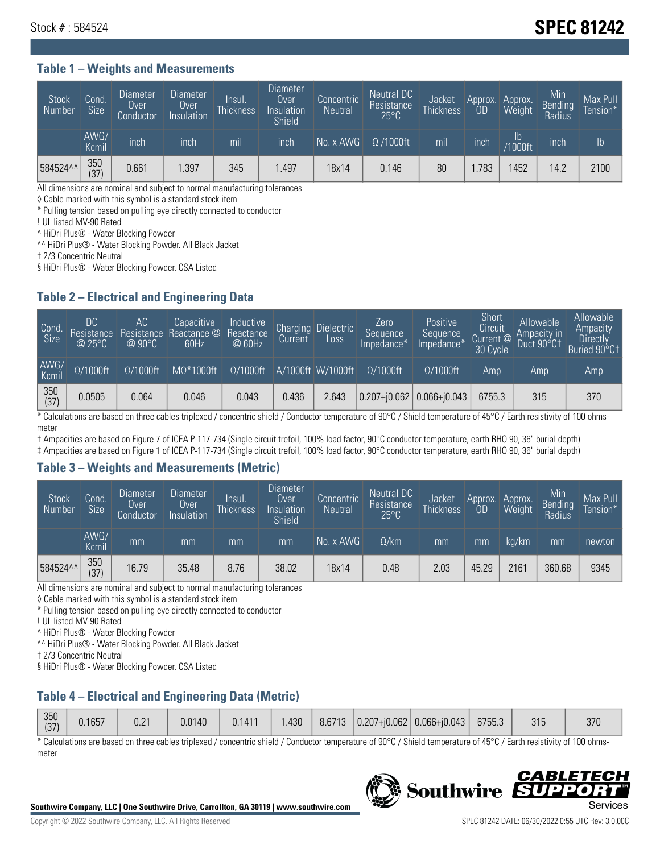## Stock # : 584524 **SPEC 81242**

#### **Table 1 – Weights and Measurements**

| <b>Stock</b><br>Number | Cond.<br>Size | <b>Diameter</b><br>Over<br>Conductor | Diameter<br>Over<br>Insulation | Insul.<br><b>Thickness</b> | <b>Diameter</b><br>Over<br>Insulation<br>Shield | Concentric<br><b>Neutral</b> | <b>Neutral DC</b><br>Resistance<br>$25^{\circ}$ C | Jacket<br><b>Thickness</b> | Approx.<br>0D | Approx.<br>Weight | Min<br>Bending<br>Radius | Max Pull<br>Tension* |
|------------------------|---------------|--------------------------------------|--------------------------------|----------------------------|-------------------------------------------------|------------------------------|---------------------------------------------------|----------------------------|---------------|-------------------|--------------------------|----------------------|
|                        | AWG/<br>Kcmil | inch                                 | inch                           | mil                        | inch                                            | $No. x$ AWG                  | $\Omega$ /1000ft                                  | mil                        | inch          | lb<br>/1000ft     | <b>Inch</b>              | Ib                   |
| 584524^^               | 350<br>(37)   | 0.661                                | .397                           | 345                        | .497                                            | 18x14                        | 0.146                                             | 80                         | .783          | 1452              | 14.2                     | 2100                 |

All dimensions are nominal and subject to normal manufacturing tolerances

◊ Cable marked with this symbol is a standard stock item

\* Pulling tension based on pulling eye directly connected to conductor

! UL listed MV-90 Rated

^ HiDri Plus® - Water Blocking Powder

^^ HiDri Plus® - Water Blocking Powder. All Black Jacket

† 2/3 Concentric Neutral

§ HiDri Plus® - Water Blocking Powder. CSA Listed

#### **Table 2 – Electrical and Engineering Data**

| Cond.<br>Size | 'DC<br>Resistance<br>@25°C | АC<br>Resistance<br>$\varpi$ 90°C | Capacitive<br>Reactance @<br>60Hz | Inductive<br>Reactance<br>@ 60Hz | Charging<br>Current, | <b>Dielectric</b><br>Loss | Zero<br>Sequence<br>Impedance* | Positive<br>Sequence<br>Impedance* | Short<br><b>Circuit</b><br>Current @<br>30 Cycle | Allowable<br>Ampacity in<br>Duct 90°C† | Allowable<br>Ampacity<br><b>Directly</b><br>Buried 90°C‡ |
|---------------|----------------------------|-----------------------------------|-----------------------------------|----------------------------------|----------------------|---------------------------|--------------------------------|------------------------------------|--------------------------------------------------|----------------------------------------|----------------------------------------------------------|
| AWG/<br>Kcmil | $\Omega/1000$ ft           | $\Omega/1000$ ft                  | $M\Omega^*1000$ ft                | $\Omega/1000$ ft                 |                      | A/1000ft W/1000ft         | $O/1000$ ft                    | $\Omega$ /1000ft                   | Amp                                              | Amp                                    | Amp                                                      |
| 350<br>(37)   | 0.0505                     | 0.064                             | 0.046                             | 0.043                            | 0.436                | 2.643                     | $0.207 + 0.062$ 0.066+ $0.043$ |                                    | 6755.3                                           | 315                                    | 370                                                      |

\* Calculations are based on three cables triplexed / concentric shield / Conductor temperature of 90°C / Shield temperature of 45°C / Earth resistivity of 100 ohmsmeter

† Ampacities are based on Figure 7 of ICEA P-117-734 (Single circuit trefoil, 100% load factor, 90°C conductor temperature, earth RHO 90, 36" burial depth)

‡ Ampacities are based on Figure 1 of ICEA P-117-734 (Single circuit trefoil, 100% load factor, 90°C conductor temperature, earth RHO 90, 36" burial depth)

#### **Table 3 – Weights and Measurements (Metric)**

| <b>Stock</b><br>Number | Cond.<br>Size | <b>Diameter</b><br>Over<br>Conductor | <b>Diameter</b><br>Over,<br>Insulation | Insul.<br>Thickness | <b>Diameter</b><br>Over<br>Insulation<br><b>Shield</b> | Concentric<br><b>Neutral</b> | <b>Neutral DC</b><br>Resistance<br>$25^{\circ}$ C | Jacket<br><b>Thickness</b> | Approx.<br>0D | Approx.<br>Weight | Min<br>Bending<br>Radius | Max Pull<br>Tension* |
|------------------------|---------------|--------------------------------------|----------------------------------------|---------------------|--------------------------------------------------------|------------------------------|---------------------------------------------------|----------------------------|---------------|-------------------|--------------------------|----------------------|
|                        | AWG/<br>Kcmil | mm                                   | mm                                     | mm                  | mm                                                     | No. x AWG                    | $\Omega$ /km                                      | mm                         | mm            | ka/km             | mm'                      | newton               |
| 584524^^               | 350<br>(37)   | 16.79                                | 35.48                                  | 8.76                | 38.02                                                  | 18x14                        | 0.48                                              | 2.03                       | 45.29         | 2161              | 360.68                   | 9345                 |

All dimensions are nominal and subject to normal manufacturing tolerances

◊ Cable marked with this symbol is a standard stock item

\* Pulling tension based on pulling eye directly connected to conductor

! UL listed MV-90 Rated

^ HiDri Plus® - Water Blocking Powder

^^ HiDri Plus® - Water Blocking Powder. All Black Jacket

† 2/3 Concentric Neutral

§ HiDri Plus® - Water Blocking Powder. CSA Listed

#### **Table 4 – Electrical and Engineering Data (Metric)**

| 350<br>(37) | J.1657 | 0.21 | 0.0140 | 0.1411 | .430 <sub>1</sub> |  |  | $\mid$ 8.6713 $\mid$ 0.207+j0.062 $\mid$ 0.066+j0.043 $\mid$ | 6755.3 |  | 370 |
|-------------|--------|------|--------|--------|-------------------|--|--|--------------------------------------------------------------|--------|--|-----|
|-------------|--------|------|--------|--------|-------------------|--|--|--------------------------------------------------------------|--------|--|-----|

\* Calculations are based on three cables triplexed / concentric shield / Conductor temperature of 90°C / Shield temperature of 45°C / Earth resistivity of 100 ohmsmeter



**Southwire** 

*CABLE* 

PPO